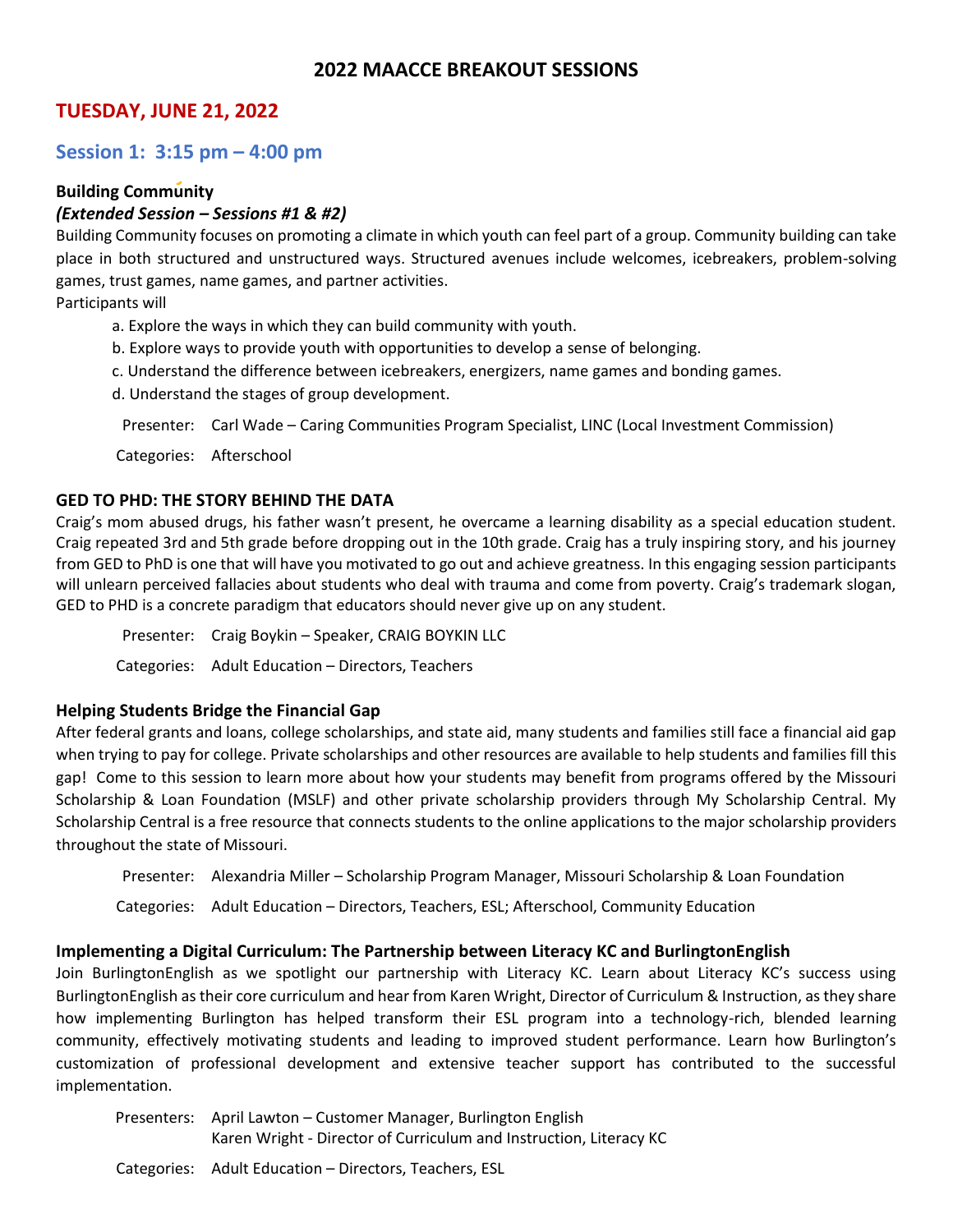# **2022 MAACCE BREAKOUT SESSIONS**

# **TUESDAY, JUNE 21, 2022**

## **Session 1: 3:15 pm – 4:00 pm**

#### **Building Community**

#### *(Extended Session – Sessions #1 & #2)*

Building Community focuses on promoting a climate in which youth can feel part of a group. Community building can take place in both structured and unstructured ways. Structured avenues include welcomes, icebreakers, problem-solving games, trust games, name games, and partner activities.

Participants will

- a. Explore the ways in which they can build community with youth.
- b. Explore ways to provide youth with opportunities to develop a sense of belonging.
- c. Understand the difference between icebreakers, energizers, name games and bonding games.
- d. Understand the stages of group development.
- Presenter: Carl Wade Caring Communities Program Specialist, LINC (Local Investment Commission)

Categories: Afterschool

### **GED TO PHD: THE STORY BEHIND THE DATA**

Craig's mom abused drugs, his father wasn't present, he overcame a learning disability as a special education student. Craig repeated 3rd and 5th grade before dropping out in the 10th grade. Craig has a truly inspiring story, and his journey from GED to PhD is one that will have you motivated to go out and achieve greatness. In this engaging session participants will unlearn perceived fallacies about students who deal with trauma and come from poverty. Craig's trademark slogan, GED to PHD is a concrete paradigm that educators should never give up on any student.

Presenter: Craig Boykin – Speaker, CRAIG BOYKIN LLC

Categories: Adult Education – Directors, Teachers

#### **Helping Students Bridge the Financial Gap**

After federal grants and loans, college scholarships, and state aid, many students and families still face a financial aid gap when trying to pay for college. Private scholarships and other resources are available to help students and families fill this gap! Come to this session to learn more about how your students may benefit from programs offered by the Missouri Scholarship & Loan Foundation (MSLF) and other private scholarship providers through My Scholarship Central. My Scholarship Central is a free resource that connects students to the online applications to the major scholarship providers throughout the state of Missouri.

- Presenter: Alexandria Miller Scholarship Program Manager, Missouri Scholarship & Loan Foundation
- Categories: Adult Education Directors, Teachers, ESL; Afterschool, Community Education

#### **Implementing a Digital Curriculum: The Partnership between Literacy KC and BurlingtonEnglish**

Join BurlingtonEnglish as we spotlight our partnership with Literacy KC. Learn about Literacy KC's success using BurlingtonEnglish as their core curriculum and hear from Karen Wright, Director of Curriculum & Instruction, as they share how implementing Burlington has helped transform their ESL program into a technology-rich, blended learning community, effectively motivating students and leading to improved student performance. Learn how Burlington's customization of professional development and extensive teacher support has contributed to the successful implementation.

Presenters: April Lawton – Customer Manager, Burlington English Karen Wright - Director of Curriculum and Instruction, Literacy KC

Categories: Adult Education – Directors, Teachers, ESL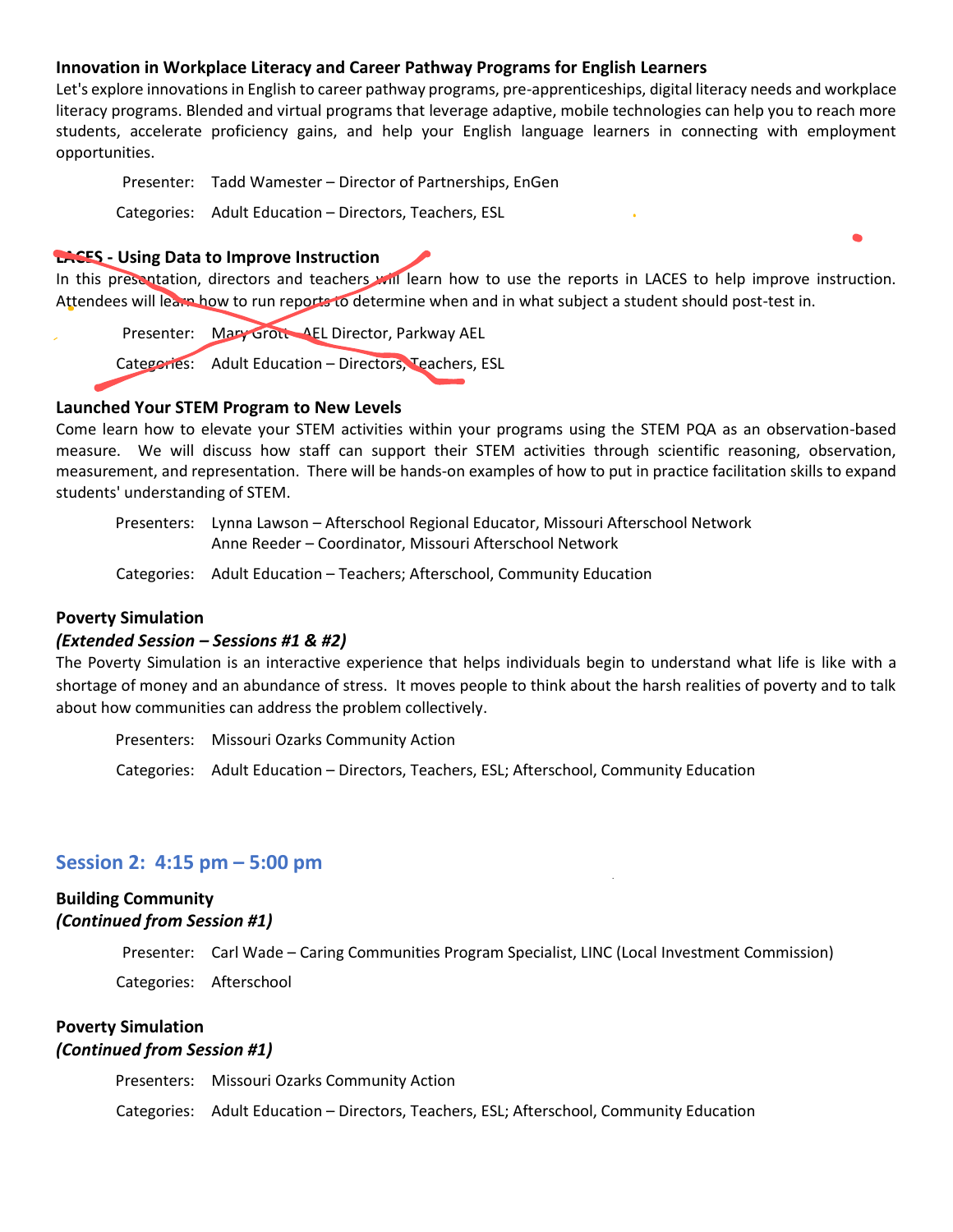#### **Innovation in Workplace Literacy and Career Pathway Programs for English Learners**

Let's explore innovations in English to career pathway programs, pre-apprenticeships, digital literacy needs and workplace literacy programs. Blended and virtual programs that leverage adaptive, mobile technologies can help you to reach more students, accelerate proficiency gains, and help your English language learners in connecting with employment opportunities.

Presenter: Tadd Wamester – Director of Partnerships, EnGen

Categories: Adult Education – Directors, Teachers, ESL

#### **LACES - Using Data to Improve Instruction**

In this presentation, directors and teachers will learn how to use the reports in LACES to help improve instruction. Attendees will learn how to run reports to determine when and in what subject a student should post-test in.

Presenter: Mary Grott AEL Director, Parkway AEL

Categories: Adult Education – Directors, Teachers, ESL

### **Launched Your STEM Program to New Levels**

Come learn how to elevate your STEM activities within your programs using the STEM PQA as an observation-based measure. We will discuss how staff can support their STEM activities through scientific reasoning, observation, measurement, and representation. There will be hands-on examples of how to put in practice facilitation skills to expand students' understanding of STEM.

Presenters: Lynna Lawson – Afterschool Regional Educator, Missouri Afterschool Network Anne Reeder – Coordinator, Missouri Afterschool Network

Categories: Adult Education – Teachers; Afterschool, Community Education

### **Poverty Simulation**

#### *(Extended Session – Sessions #1 & #2)*

The Poverty Simulation is an interactive experience that helps individuals begin to understand what life is like with a shortage of money and an abundance of stress. It moves people to think about the harsh realities of poverty and to talk about how communities can address the problem collectively.

Presenters: Missouri Ozarks Community Action

Categories: Adult Education – Directors, Teachers, ESL; Afterschool, Community Education

# **Session 2: 4:15 pm – 5:00 pm**

## **Building Community** *(Continued from Session #1)*

Presenter: Carl Wade – Caring Communities Program Specialist, LINC (Local Investment Commission)

Categories: Afterschool

## **Poverty Simulation** *(Continued from Session #1)*

Presenters: Missouri Ozarks Community Action

Categories: Adult Education – Directors, Teachers, ESL; Afterschool, Community Education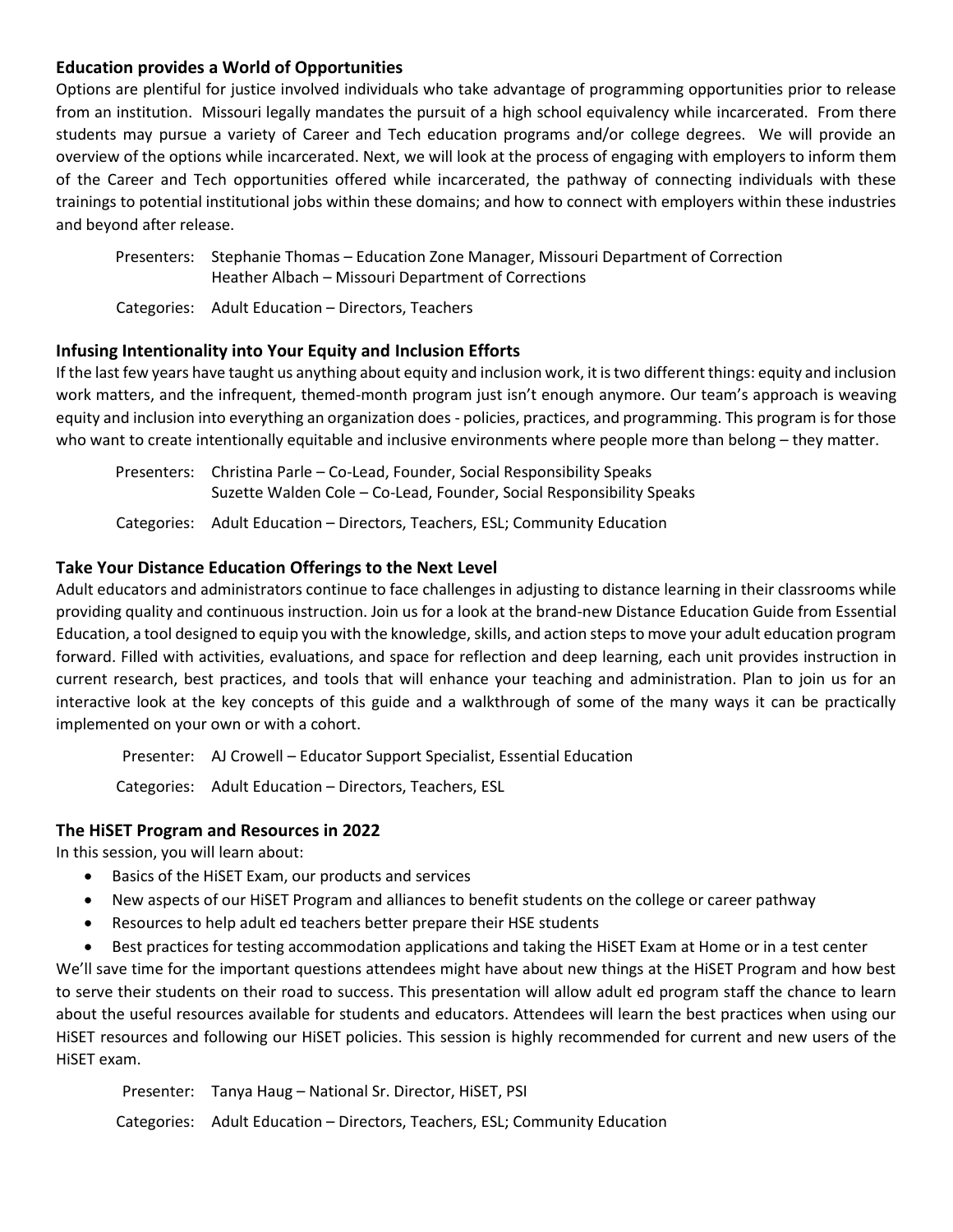### **Education provides a World of Opportunities**

Options are plentiful for justice involved individuals who take advantage of programming opportunities prior to release from an institution. Missouri legally mandates the pursuit of a high school equivalency while incarcerated. From there students may pursue a variety of Career and Tech education programs and/or college degrees. We will provide an overview of the options while incarcerated. Next, we will look at the process of engaging with employers to inform them of the Career and Tech opportunities offered while incarcerated, the pathway of connecting individuals with these trainings to potential institutional jobs within these domains; and how to connect with employers within these industries and beyond after release.

Presenters: Stephanie Thomas – Education Zone Manager, Missouri Department of Correction Heather Albach – Missouri Department of Corrections

Categories: Adult Education – Directors, Teachers

#### **Infusing Intentionality into Your Equity and Inclusion Efforts**

If the last few years have taught us anything about equity and inclusion work, it is two different things: equity and inclusion work matters, and the infrequent, themed-month program just isn't enough anymore. Our team's approach is weaving equity and inclusion into everything an organization does - policies, practices, and programming. This program is for those who want to create intentionally equitable and inclusive environments where people more than belong – they matter.

Presenters: Christina Parle – Co-Lead, Founder, Social Responsibility Speaks Suzette Walden Cole – Co-Lead, Founder, Social Responsibility Speaks Categories: Adult Education – Directors, Teachers, ESL; Community Education

#### **Take Your Distance Education Offerings to the Next Level**

Adult educators and administrators continue to face challenges in adjusting to distance learning in their classrooms while providing quality and continuous instruction. Join us for a look at the brand-new Distance Education Guide from Essential Education, a tool designed to equip you with the knowledge, skills, and action steps to move your adult education program forward. Filled with activities, evaluations, and space for reflection and deep learning, each unit provides instruction in current research, best practices, and tools that will enhance your teaching and administration. Plan to join us for an interactive look at the key concepts of this guide and a walkthrough of some of the many ways it can be practically implemented on your own or with a cohort.

Presenter: AJ Crowell – Educator Support Specialist, Essential Education

Categories: Adult Education – Directors, Teachers, ESL

#### **The HiSET Program and Resources in 2022**

In this session, you will learn about:

- Basics of the HiSET Exam, our products and services
- New aspects of our HiSET Program and alliances to benefit students on the college or career pathway
- Resources to help adult ed teachers better prepare their HSE students
- Best practices for testing accommodation applications and taking the HiSET Exam at Home or in a test center

We'll save time for the important questions attendees might have about new things at the HiSET Program and how best to serve their students on their road to success. This presentation will allow adult ed program staff the chance to learn about the useful resources available for students and educators. Attendees will learn the best practices when using our HiSET resources and following our HiSET policies. This session is highly recommended for current and new users of the HiSET exam.

Presenter: Tanya Haug – National Sr. Director, HiSET, PSI

Categories: Adult Education – Directors, Teachers, ESL; Community Education